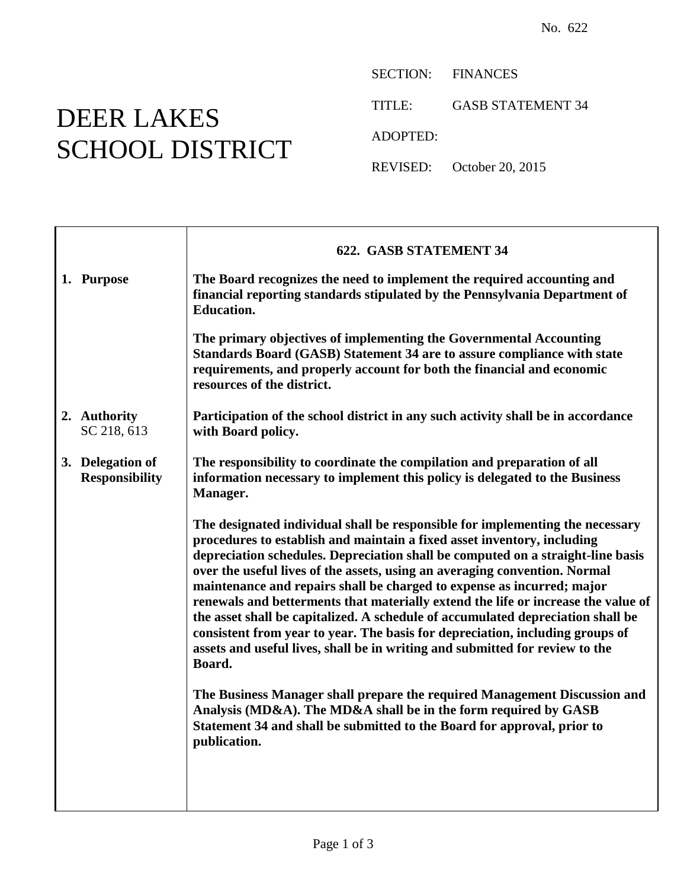## DEER LAKES SCHOOL DISTRICT

SECTION: FINANCES

TITLE: GASB STATEMENT 34

ADOPTED:

REVISED: October 20, 2015

|                                           | <b>622. GASB STATEMENT 34</b>                                                                                                                                                                                                                                                                                                                                                                                                                                                                                                                                                                                                                                                                                                                          |
|-------------------------------------------|--------------------------------------------------------------------------------------------------------------------------------------------------------------------------------------------------------------------------------------------------------------------------------------------------------------------------------------------------------------------------------------------------------------------------------------------------------------------------------------------------------------------------------------------------------------------------------------------------------------------------------------------------------------------------------------------------------------------------------------------------------|
| 1. Purpose                                | The Board recognizes the need to implement the required accounting and<br>financial reporting standards stipulated by the Pennsylvania Department of<br><b>Education.</b>                                                                                                                                                                                                                                                                                                                                                                                                                                                                                                                                                                              |
|                                           | The primary objectives of implementing the Governmental Accounting<br>Standards Board (GASB) Statement 34 are to assure compliance with state<br>requirements, and properly account for both the financial and economic<br>resources of the district.                                                                                                                                                                                                                                                                                                                                                                                                                                                                                                  |
| 2. Authority<br>SC 218, 613               | Participation of the school district in any such activity shall be in accordance<br>with Board policy.                                                                                                                                                                                                                                                                                                                                                                                                                                                                                                                                                                                                                                                 |
| 3. Delegation of<br><b>Responsibility</b> | The responsibility to coordinate the compilation and preparation of all<br>information necessary to implement this policy is delegated to the Business<br>Manager.                                                                                                                                                                                                                                                                                                                                                                                                                                                                                                                                                                                     |
|                                           | The designated individual shall be responsible for implementing the necessary<br>procedures to establish and maintain a fixed asset inventory, including<br>depreciation schedules. Depreciation shall be computed on a straight-line basis<br>over the useful lives of the assets, using an averaging convention. Normal<br>maintenance and repairs shall be charged to expense as incurred; major<br>renewals and betterments that materially extend the life or increase the value of<br>the asset shall be capitalized. A schedule of accumulated depreciation shall be<br>consistent from year to year. The basis for depreciation, including groups of<br>assets and useful lives, shall be in writing and submitted for review to the<br>Board. |
|                                           | The Business Manager shall prepare the required Management Discussion and<br>Analysis (MD&A). The MD&A shall be in the form required by GASB<br>Statement 34 and shall be submitted to the Board for approval, prior to<br>publication.                                                                                                                                                                                                                                                                                                                                                                                                                                                                                                                |
|                                           |                                                                                                                                                                                                                                                                                                                                                                                                                                                                                                                                                                                                                                                                                                                                                        |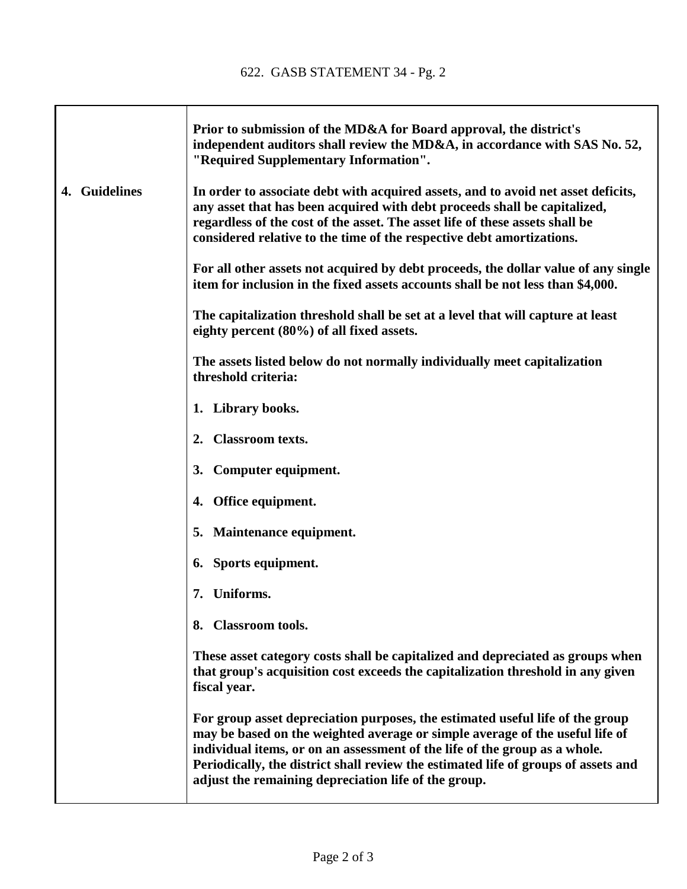$\Gamma$ 

T

|               | Prior to submission of the MD&A for Board approval, the district's<br>independent auditors shall review the MD&A, in accordance with SAS No. 52,<br>"Required Supplementary Information".                                                                                                                                                                                                 |
|---------------|-------------------------------------------------------------------------------------------------------------------------------------------------------------------------------------------------------------------------------------------------------------------------------------------------------------------------------------------------------------------------------------------|
| 4. Guidelines | In order to associate debt with acquired assets, and to avoid net asset deficits,<br>any asset that has been acquired with debt proceeds shall be capitalized,<br>regardless of the cost of the asset. The asset life of these assets shall be<br>considered relative to the time of the respective debt amortizations.                                                                   |
|               | For all other assets not acquired by debt proceeds, the dollar value of any single<br>item for inclusion in the fixed assets accounts shall be not less than \$4,000.                                                                                                                                                                                                                     |
|               | The capitalization threshold shall be set at a level that will capture at least<br>eighty percent (80%) of all fixed assets.                                                                                                                                                                                                                                                              |
|               | The assets listed below do not normally individually meet capitalization<br>threshold criteria:                                                                                                                                                                                                                                                                                           |
|               | 1. Library books.                                                                                                                                                                                                                                                                                                                                                                         |
|               | 2. Classroom texts.                                                                                                                                                                                                                                                                                                                                                                       |
|               | 3. Computer equipment.                                                                                                                                                                                                                                                                                                                                                                    |
|               | 4. Office equipment.                                                                                                                                                                                                                                                                                                                                                                      |
|               | 5. Maintenance equipment.                                                                                                                                                                                                                                                                                                                                                                 |
|               | 6. Sports equipment.                                                                                                                                                                                                                                                                                                                                                                      |
|               | Uniforms.<br>7.                                                                                                                                                                                                                                                                                                                                                                           |
|               | 8. Classroom tools.                                                                                                                                                                                                                                                                                                                                                                       |
|               | These asset category costs shall be capitalized and depreciated as groups when<br>that group's acquisition cost exceeds the capitalization threshold in any given<br>fiscal year.                                                                                                                                                                                                         |
|               | For group asset depreciation purposes, the estimated useful life of the group<br>may be based on the weighted average or simple average of the useful life of<br>individual items, or on an assessment of the life of the group as a whole.<br>Periodically, the district shall review the estimated life of groups of assets and<br>adjust the remaining depreciation life of the group. |